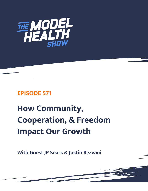

# **EPISODE 571**

# **How Community, Cooperation, & Freedom Impact Our Growth**

**With Guest JP Sears & Justin Rezvani**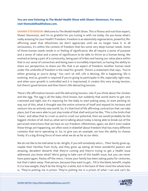## **You are now listening to The Model Health Show with Shawn Stevenson. For more, visit themodelhealthshow.com.**

**SHAWN STEVENSON:** Welcome to The Model Health Show. This is fitness and nutrition expert, Shawn Stevenson, and I'm so grateful for you tuning in with me today. Do you know what's really amazing for your health? Freedom. Freedom is an absolutely regenerative, powerful, lifeaffirming asset that oftentimes we don't appreciate until we no longer have it. In all seriousness, it's within the context of freedom that lies some very deep human needs. Some of those human needs reside in or feeling of significance. We all require a sense of purpose and a sense of value and a sense of significance to be able to thrive as a human being. We evolved as being a part of a community, being part of tribes and having our value place within that in our sense of connection and being seen is incredibly important, so having the ability to share our perspective, to share our life, that is an aspect of freedom. Another human need under the umbrella of freedom is the need for growth. There's a statement that says, "You're either growing or you're dying." You can't sit still. Life is Moving, life is happening, life is evolving. And so, growth is required if you're going to participate in life, especially right now, and when your growth is controlled and it is imprisoned, it creates this very strong tension, but there's good tension and then there's life-detracting tension.

There's life-affirmative tension and life-detracting tension. Like if you think about the chicken and the egg. The egg is all the baby chick knows, but suddenly that world starts to get very crammed and tight, but it's requiring for the baby to start poking away, to start pecking its way out of this, what it thought was the entire universe of itself and expand its horizons and venture into an entirely new world. So, it's that kind of life affirming contraction that can take place, but if we were able to just stay inside of that shell and just be like, "This is the limits that I have," and allow that to crush us and to crush our potential, then we would probably be the biggest chicken of all. And so, what we're talking about today is being able to break out of the perceived restrictions that we have on our freedom. Oftentimes, again, we don't even realize these things are happening, we often exist in disbelief about freedom that has many different contexts that we're operating in. So, to give you an example, we love the ability to choose freely. It's a big driving force of even what we do as far as our diets.

We do not like to be told what to do. Alright, if you tell somebody who's... Their family grew up, maybe their families from Sicily, and they grew up eating all these wonderful pastors and amazing, decadent desserts that they're coming and they're trying to get a health issue addressed, you know what? We're going to take care of this health issue, but you can never have pasta again. Pastas off the menu. I know your family has been eating pasta for centuries, but that's taken away. That person, because they want to get... Fill in the blank, benefit, maybe it's to lose weight, they'll do the thing for a while, but in the back of their mind the whole time [is, "They](https://themodelhealthshow.com/jp-sears-justin-rezvani/)'[re putting me in prison. They](https://themodelhealthshow.com/jp-sears-justin-rezvani/)'[re putting me in a prison of what I can and can](https://themodelhealthshow.com/jp-sears-justin-rezvani/)'[t do.](https://themodelhealthshow.com/jp-sears-justin-rezvani/) 

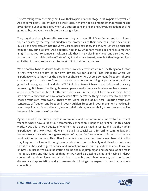They're taking away the thing that I love that's a part of my heritage, that's a part of my value." And at some point, it might not be a week later, it might not be a month later, it might not be a year later, but at some point, when you put someone in prison and we value freedom, they're going to be... Maybe they achieve their weight loss.

They might be driving home after work and they catch a whiff of Olive Garden and it's not even top tier pasta, by the way, but suddenly the aroma tickles their nose hairs, and they pull in quickly and aggressively into the Olive Garden parking space, and they're just going absolute ham on fettuccine, alright? And hopefully you know what ham means, it's hard as a mother, alright? Shout out to Samuel L. Jackson, I said that in his voice in my head, and also shout out to the song, the collaborative efforts of Jay Z and Kanye, H-A-M, ham, but they're going ham on Fettuccini because they want to break out of that restrictive box.

We do not like to be told what to do, however, we can create structures. The thing about it too is that, when we are left to our own devices, we can also fall into this place where we experience what's known as the paradox of choice. Where there's so many freedoms, there's so many options to choose from that we end up choosing nothing. It paralyzes us, and this goes back to a great book and also a TED talk from Barry Schwartz, and this paradox is very interesting. But here's the thing, humans operate really remarkable when we have boxes to operate in. Within that box of different choices, within that box of freedoms, it makes life a little bit easier because we have a framework. Now, here's the thing, do you want to be able to choose your own framework? That's what we're talking about here. Creating your own constructs of freedom and freedom in your nutrition, freedom in your movement practices, in your sleep, in your financial health, in your relationships, in your ability to express your voice, because right now, one of the deep...

Again, one of these human needs is community, and our community has evolved in recent years to where now, a lot of our community connection is happening "online", in this cyber world. Now, this is not a debate of whether that's good or bad, it just is, and it is the human experience right now. Now, I do want to put in a special word for offline communications, because truly that's what our genes expect of us, our DNA expects us to interact in the real world with other humans. This other format is in new invention. We haven't been doing this very long, we don't know the long-term ramifications, but the beauty of it, this does not mean that it can't be used to great service and impact and value, but it just depends on... It's a tool on how you use it. We could be getting online and just jumping on and spend a lot of time in the gossip sites and that kind of thing, or we could be getting online and having in-depth conversations about ideas and about breakthroughs, and about science, and music, and discovery and appreciation, and all these wonderful things that expand our reach, expand our connection.

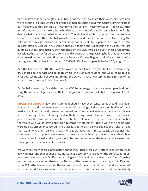And I believe that every single human being has the right to share their voice, but right now we're existing in a time where one of the big monikers that's governing, that's infringing upon our freedom, is this concept of misinformation, alright? Misinformation. Not to say that misinformation does not exist, but who deems what is misinformation and what is not? Who deems what is a fact and what is not a fact? Therein lies the schism, therein lies the problem, but also therein lies the potential growth. I believe, and this is what we've evolved doing, the solution for misinformation is better information, not to suppress the voice of the misinformation. Because if we were rightfully flagging and suppressing the voices that are pumping out misinformation, then the head of the CDC would be guilty of this. On several occasions, the Center for Disease Control and Prevention, the governing body that our citizens have been directing our attention towards because it's been flagged in all of our posts, if we're talking about this subject matter with COVID-19. It's directing people to the CDC, alright?

And the head of the CDC, Dr. Rochelle Walensky, and I'm sure again, brilliant human being, passionate about service and doing this work, she is on record video, and we're going to play it for you, saying with her own mouth that the COVID-19 vaccines stop the transmission of the virus. Listen to her say it from her own lips.

Dr. Rochelle Walensky: Our data from the CDC today suggest that vaccinated people do not carry the virus, don't get sick, and that it's not just in the clinical trials, but it's also in real world data.

**SHAWN STEVENSON:** Now, this statement should have been censored. It should have been flagged. It should have been taken down. All of the things, if the governing bodies of social median and information dissemination were doing things equally because it was wrong. It was not just wrong; it was blatantly destructfully wrong. Now, also, we have to put this in parenthesis, this was not necessarily her intention, of course, to spread misinformation, but the voices who would have opposition towards her statement, those were the people who were de-platformed or censored. And that's just not okay. I believe she has the right to make that statement, and I believe that other people have the right to speak up against that statement and to oppose a statement, so we can have healthy conversations, that's how society moves forward. And also, we should be questioning when she says that statement that this stops the transmission of this virus.

We were all receiving this information about this... There's this 95% effectiveness with these new vaccines, and that sounds amazing, sounds absolutely amazing on the surface, but most folks never stop to ask 95% effective at doing what? What does that even mean? And from her perspective, what she was sharing that this stops the transmission of the virus, is that it's going to be 95% effective at stopping the transmission of the virus. And then that story devolved, but what we did was, as soon as the data came out from the vaccine trials, I immediately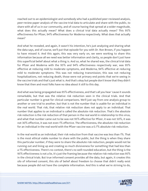reached out to an epidemiologist and somebody who had a published peer-reviewed analysis, peer-review paper analysis of the vaccine trial data to articulate and share with the public, to share with all of us in our community, and of course having that spread at a wider magnitude, what does this actually mean? What does a clinical trial data actually mean? This 95% effectiveness for Pfizer, 94% effectiveness for Moderna respectively. What does that actually mean?

And what he revealed, and again, it wasn't his intention, he's just analyzing and sharing what the data says, and of course, we'll put that episode for you with Dr. Ron Brown, if you happen to have missed it. And this again, this was very early on, we were working to share this information because all we need was better information and clarity, so people don't just have this superficial belief about what a thing is. And so, what he shared was, the clinical trial data for Pfizer and Moderna with the 95% and 94% effectiveness respectively war, was 95% effective at reducing mild to moderate symptoms, and Moderna, 94% effective at reducing mild to moderate symptoms. This was not reducing transmission, this was not reducing hospitalizations, not reducing death, those were not primary end points that we're seeing in the vaccine trials and that's just what is. And that's okay but people don't know that they didn't know that then and most folks have no idea about it still to this day.

And what was being propagated was 95% effectiveness, and that's all you hear 'cause it sounds remarkable, but that was the relative risk reduction seen in the clinical trials. And that particular number is great for clinical comparisons. We'll just say from one analysis group to another or one trial to another, but that is not the number that is usable for an individual in the real world. That risk, that relative risk reduction does not apply to an individual. That number that applies to an individual is called the absolute risk reduction. That's the absolute risk reduction is the risk reduction of that person in the real world in relationship to this virus, and what that number came out to be was not 95% effective for Pfizer, it was not 50%, it was not 30% effective, it was not even 1% effective. The effectiveness, the absolute risk reduction for an individual in the real world with the Pfizer vaccine was a 0.7% absolute risk reduction.

In the real world as an individual, their risk reduction from that vaccine was less than 1%. That is the most ethical viable number to share with the public, but the thing is when they share this particular number, if they were to share the absolute risk reduction, people would not be running out and lining up and creating so much divisiveness for something that had less than a 1% effectiveness. There's no context, there's no well-rounded education, but the thing is the 95% effectiveness is not a lie, it's just the framing because the relative risk reduction was 95% in the clinical trials. But true informed consent provides all the data, but again, it creates this silo of informed consent, this silo of belief about freedom to choose that didn't really exist because people did not have the complete information. And this is what we're striving to do,

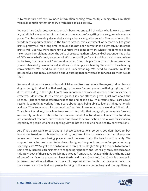is to make sure that well-rounded information coming from multiple perspectives, multiple voices, is something that rings true from here on as a society.

We need it so badly, because as soon as it becomes one guild of voices who know all, control all, tell all, tell you what to think and what to do, man, we're getting to a very, very dangerous place. That has absolutely decimated society after society, after society. This experiment, this freedom of experiment here in the United States, this experiment of democracy has gone pretty, pretty well for a long time, of course, it's not been perfect in the slightest, but it's gone pretty well. But now we're starting to venture into some territory where freedoms are being taken away from citizens under the guise of protecting themselves and others. Under the guise of, "We know what's best, we know what's true, and if you're not abiding by what we believe to be true, then you're out." You're eliminated from this platform, from this conversation, you're ostracized, you're attacked, and this is just simply not healthy. We need to have healthy conversations. We need to be open and understanding. We need to evaluate multiple perspectives, and today's episode is about pushing that conversation forward. How can we do that?

Because right now it's so volatile and divisive, and from somebody like myself, I don't have a dog in the fight. I don't like that analogy, by the way, 'cause I guess is with dog fighting, but I don't have a dog in the fight, I don't have a horse in the race of whether or not a vaccine is effective. I don't care. If it's effective, great. If it's not effective, great. I just care about the science. I just care about effectiveness at the end of the day. I'm a results guy. I care about results, is something working? And I care about logic, being able to look at things rationally and say, "You know what, it's not working," or "You know what, that's working." That's all... That's how I'm driven, that's how I'm wired up. And with that being said, as we move forward as a society, we have to step into real empowerment. Real freedom, not superficial freedom, not conditional freedom, but freedom that allows for conversation, that allows for inclusion, especially of people who have opposing viewpoints to be able to have healthy conversations.

And if you don't want to participate in those conversations, so be it, you don't have to, but having the freedom to choose that. And so, because of the turbulence that has taken place, innovations have been taking place as well, because that's the beauty of humanity. We respond. We solve problems. We're driven to figure things out, and so we've got some very special guests. We've got a trio on today with three of us, alright? We got a trio on to talk about some really incredible things that are happening right now, and just really, really excited about this. Now, both of these guys are joining us today from Austin, Texas, and this is the home base of one of my favorite places on planet Earth, and that's Onnit HQ. And Onnit is a leader in human optimization, whether it's from all of the physical treatments that they have there. Like they were one of the first companies to bring in the sauna technology and the cryotherapy

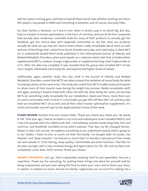and the Jujitsu training gym, and they've had all these world class athletes working out there, NFL players, top people in MMA and everything in between, and of course, everyday folks.

So, their facility is fantastic, so if you're ever down in Austin, pop in to Onnit HQ. But also, they're a leader in human optimization in the form of nutrition, and one of the few companies that actually does randomize controlled trials for many of their products to actually get the feedback, get the clinical data with respected universities to see like, does our products actually do what we say they do? And so that's what's really remarkable about them as well, and one of the things that I utilize from Onnit, literally every day, and I had today, is there MCT oil. A randomized double-blind study published in the International Journal of Obesity and Related Metabolic Disorders, place participants on a reduced calorie diet that included either supplemental MCTs, medium change triglycerides or supplemental long chain triglycerides or LCTs. After the data was compiled, it was revealed that the group who included MCT oil lost more weight, eliminated more body fat, and experienced higher levels of satiety.

Additionally, again, another study, this was cited in the Journal of Obesity and Related Metabolic Disorders, reveal that MCTS are able to boost the oxidation of stored body fat while increasing satiety at the same time. The study also noted that MCTs enable study participants to retain more of their muscle mass during the weight loss process. Really remarkable stuff, and again, putting it head-to-head with other oils with the diets being the same, we see that MCTs do something really remarkable for our metabolism. Head over there, check them out, it's onnit.com/model, that's O-N-N-I-T.com/model, you get 10% off their MCT oil, and they also have an emulsified MCT oil as well, and all their other human optimization supplements. It's onnit.com/model, now let's get to the Apple podcast review of the week.

**ITUNES REVIEW:** Another five-star review titled, "Thank you, thank you, thank you," By Hardy B. Gill. "One year ago, I had an accident in my truck and subsequent scans revealed NAFLD, and I was 250 pounds with the rubbish junk diet. I immediately started researching fatty liver and nutrition, and thankfully stumbled across John's podcast. That day, my life changed forever. Shawn is clear and concise. He explains everything so we understand exactly what's going on in our bodies. I listen to him so much; he feels like family. I've bought both his books, 'Eat Smarter' and 'Sleep Smarter'. I've learned so much that I'm literally a new person from inside out and outside in. From fasting, sleep quality, nutritionally and brain function, I feel like I'm 20 years younger with a new renewed energy and appreciation for life. Oh, and my fatty liver completely cured. Now, 100% normal. Thank you, Shawn."

**SHAWN STEVENSON:** Let's go. That is absolutely amazing. And I'm just speechless. You are a superhero. Thank you for executing, for putting these things into place for yourself and for being empowered, and just even taking the time to share your voice and to share your story, it matters, it matters so much. And we are family, I appreciate you so much for making me a

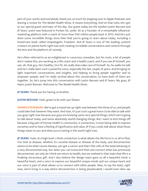part of your world, and everybody, thank you so much for popping over to Apple Podcasts and leaving a review for The Model Health Show. It means everything. And on that note, let's get to our special guest and topic of the day. Our guest today are the tandem Justin Rezvani and JP Sears. Justin was featured in Forbes 30, under 30 as a founder of a remarkable influencer marketing platform with a reach of more than 500 million people back in 2013. And he's just done some incredible things since then that you're going to learn about today, including a brand-new book called Unapologetic Freedom. And JP Sears is one of the leading content creators on planet Earth right now and creating incredible conversations and content through the lens and the platform of comedy.

He's often referred to as an enlightened or conscious comedian, but his roots, a lot of people don't realize this, are working as a life coach and a health coach, and if you see JP himself, you see, oh, that guy. He's healthy, he's fit. He really does take care of himself. So, he walks his talk and he's really been such a powerful voice, especially the last couple of years, and bringing to light important conversations and insights, and helping to bring people together and to empower people, and I'm really excited about this conversation, to have both of them are together. So, let's jump into this conversation with Justin Rezvani and JP Sears. My guys, JP Sears, Justin Rezvani. Welcome to The Model Health Show.

**JP SEARS:** Thank you for having us brother.

**JUSTIN REZVANI:** Yeah, great to be with you Shawn.

**SHAWN STEVENSON:** We've got a tripod set up right now between the three of us, and people could take that however they want. And man, it's just such a great honor to be able to talk with you guys right now because you guys are brewing some very special things, which we're going to talk about today, and some absolutely world-changing things. But I want to kick things off because a big part of human health is community, is connection, is even being able to express ourselves and to have a feeling of significance and value. JP if you could, talk about what those things mean to you and what you're seeing in the world right now.

**JP SEARS:** Yeah, at a high level, I think connection is what allows the life force in us all to flow. You look at disease, whether it's societal disease or disease of the body, and disconnection seems to be what causes disease, you get a cancer and that's like cells of the body behaving in a very disconnected way, but when you can transcend that and connect what was previously disconnected, not only do I think we return to health, but we realized in that state that life is a freaking miraculous gift. And I also believe the design team gave us all a beautiful mind, a beautiful heart, and a voice to express our beautiful unique minds and our unique heart and our voice is part of what allows us to connect with other people. Now, to say the least, right now, we're living in a way where disconnection is being perpetuated, I would even dare say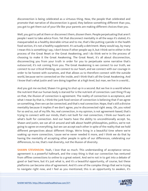disconnection is being celebrated as a virtuous thing. Now, the people that celebrated and promote that narrative of disconnection is good, they believe something different than you, you got to get them out of your life like your parents are making different choices than you.

Well, you got to yell at them or disconnect them, disown them. People perpetuating that aren't people I want to take advice from. Yet that disconnect mentality in all the ways it's stated, it's masqueraded as a healthy desirable virtue and to me, that's like putting cyanide in the health food section, it's not a healthy supplement. It's actually a detriment. Many would say, by many I mean this is something I say, I don't know if other people say it, but I think we're either in the process of the Great Reset or the Great Awakening, and I do think we're in the process of choosing to make it the Great Awakening. The Great Reset, it's all about disconnection, disconnecting you from your truth in order for you to perpetuate some narrative that's outsourced, it's not coming from you. The Great Awakening is we connect to our truth, we connect to our critical thinking, we connect to our heart, and we connect with our courage in order to be honest with ourselves, and that allows us to therefore connect with the outside world, because we're connected on the inside, and I think that's all the Great Awakening. And I know that's what Justin and I are doing together at a high level, but man, we live in a world...

And you got me excited, Shawn I'm going to shut up in a second. But we live in a world where the nutrient that our human body is starved for is the nutrient of connection. Last thing I'll say on that, the illusion of connection is agreement. The reality of connection is acceptance, and what I mean by that is, I think the junk food version of connection is believing that if we agree on something, then we can be connected, and that's real connection. Nope, that's still a divisive mentality because it implies if we don't agree, you're disconnected right away. Oh, you voted for so and so, out of my life. No, real connection, in my opinion, is not agreement-based, that's trying to connect with our minds, that's not built for real connection, I think our hearts are what's built for connection. And our hearts have the ability to unconditionally accept. So, Shawn and Justin, we can all sit around and talk about health philosophies, politics, we're not going to agree on everything, but we can accept each other in spite of the reality that we hold different perspectives about different things. We're living in a beautiful time where we're soaking up more connection, 'cause we've never needed it more, and I think we do that by having the mentality of accepting other people in spite of our differences, celebrating our differences, to me, that's real diversity, not the illusion of diversity.

**SHAWN STEVENSON:** Yeah, I love that so much. This understanding of acceptance versus agreement is a powerful hallmark, and the crazy thing is that our connection has ventured from offline connections to online to a great extent. And we're not in to get into a debate of good or bad here, but it's just what is, and it's a beautiful opportunity, of course, but these platforms can become silos of agreement. And it's one of the complex things that we're trying to navigate right now, and I feel as you mentioned, this is an opportunity to awaken, it's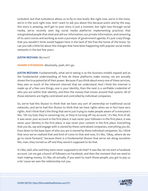turbulent, but that turbulence allows us to fly to new levels. But right now, we're in the mess, we're in the suck right now. And I want to ask you about this because Justin and by the way, this story is amazing, we'll get to your story in just a moment, but right now through social media, we've recently seen big social media platforms implementing practices that marginalized people that steal and sell our information, our private information, and censoring of its users voices and working as even a purveyor of government agenda. It's just crazy things that you wouldn't think would happen here in the land of the free the home of the brave. So can you talk a little bit about the changes that have been happening with popular social media networks in the last few years.

#### **JUSTIN REZVANI:** My turn?

### **SHAWN STEVENSON:** Absolutely, yeah, let's go.

**JUSTIN REZVANI:** Fundamentally, what we're seeing is as the business models expand and as the fundamental understanding of how do these platforms make money, we are actually shown the true potential of their power. Because if you think about every one of these services, they own so much of the inherent internet that we understand. And I think the internet is made up of a few core things, one is your identity, then the next is a verifiable credential of who you are within that identity, and then the money that moves around that system. All of those elements are highly centralized and controlled by individual companies.

So, we've had this illusion to think that we have any sort of ownership on traditional social networks, and we've had this illusion to think that we have rights when we in fact have zero rights. And I think that's the thing that we're just trying to make people aware of is everyone's like, "Oh my God, they're censoring me, or they're turning off my account," it's like, first of all, it was never your account in the first place, it was never your followers in the first place, it was never your identity in the first place, it was never your content in the first place. Everything that you do, say and engage with is owned by these centralized companies, everything you do. Even down to the base layer of who you are is owned by these individual companies. So, I think that once we've realized that and kind of come to that and now, it's like, "Okay, where do we go to move forward," because there is a fundamental illusion that we've set along ourselves like, man, they turned us off and they weren't supposed to do that.

It's like, well, who said they were never supposed to do that? It was like, let me start a Facebook account. Let me get a bunch of followers on Facebook, and then the moment that we need to start making money, it's like, oh actually, if you want to reach those people, you got to pay us a lot 'cause we own the relationship not you.

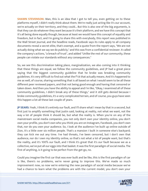**SHAWN STEVENSON:** Man, this is an idea that I got to tell you, even getting on to these platforms myself, I didn't really think about them. We're really just acting like it's our account, we're actually on their territory, and they could... But this is also one of the big arguments, is that they can do whatever they want because it's their platform, and we have this concept that it's all being done equally though, because at least we would have this concept of equality and freedom, but in fact, and I'm going to share this with everybody, this report was published in the Wall Street Journal, and the headline reads, Facebook says its rules apply to all company documents reveal a secret elite, that's exempt, and a quote from the report says, "We are not actually doing what we say we do publicly," and this was from a confidential reviewer. It called the company's actions, "a breach of trust", and added "Unlike the rest of our community, these people can violate our standards without any consequences."

So, we see this discrimination taking place, marginalization, we also coming into it thinking that these things are equal, we follow the community guidelines, and JP had a great piece saying that the biggest community guideline that he broke was breaking community guidelines. It's very difficult to find out what the f\*ck that actually means. And it's happened to me as well, of course, sharing something that is all based on what I would seem to be all these different peer reviewed papers, and that not being good enough and having that censored or taken down. And then you have the ability to appeal and I'm like, "Okay, I examined all of these community guidelines, I didn't break any of these things," and it still gets denied because I broke community guidelines, it's a very complicated terrain, and of course, you guys have seen this happen a lot all these last couple of years.

**JP SEARS:** Yeah, I think it's entirely our fault, and I'll share what I mean by that in a second, but first just to amplify something that Justin said, looking at reality, not what we want, not the way a lot of people think it should be, but what the reality is. When you're on any of the mainstream social media companies, you not only don't own your identity online, you don't own your profile, you don't own who you think you are on Instagram, Facebook, you don't own that, nor do you own your audience. So, I look at the audience I've built up online outside of Zion, it's a little over six million people. That's a mansion I built in someone else's backyard; they can kick me out any time. I've had threats, I've been censored, but I don't own that audience, nor do I own my identity online, so that's not what a lot of people want, but that's the reality, and it's 100% our fault, and I think it's great that it's our fault because we as a collective, we've put all our eggs into that basket. It was the first paradigm of social media. The first of anything, is it going to be perfect from the get-go, no.

Could you imagine the first car that was ever built and be like, this is the first paradigm of car is like, there's no problems, we're never going to improve this. We've made so much improvement now, so now we're entering the new paradigm of social media because we've had a chance to learn what the problems are with the current model, you don't own your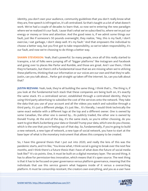identity, you don't own your audience, community guidelines that you don't really know what they are, free speech is infringed on, it's all centralized. So that's taught us a lot of what doesn't work. We've had a couple of decades to learn that, so now we're entering the new paradigm where we've realized it's our fault, 'cause that's what we've subscribed to, where we've put our energy or money or time and attention. And the good news is, if we admit some things our fault, just like if someone's 50 pounds overweight, they realize, "Hey, this is my fault, I don't exercise, I eat garbage, I don't sleep well. It's my fault." And that empowers the individual to choose a better way, but you first got to take responsibility, so we've taken responsibility, it's our fault, and now we're choosing to do things a better way.

**SHAWN STEVENSON:** Yeah, that's powerful. So many people, once all of this really started to transpire, a lot of folks were jumping off of "bigger platforms" like Instagram and Facebook and going over to places like Parlor and Rumble, and those are great. And I use them, I think they're fantastic, but there's still a fundamental issue that we are missing when we're utilizing these platforms, thinking that our information or our voices are our own and that they're safe. Justin, can you talk about... Parlor got straight up taken off the internet. So, can you talk about that?

**JUSTIN REZVANI:** Yeah, look, they're all building the same thing, I think that's... The thing is, if you look at the fundamental tech stack that these companies are being built on, it's exactly the same stack. It's a centralized server, established through a centralized identity, they're using third party advertising to subsidize the cost of the services onto the network. They take the data that you use of your account and all the videos you watch and subsidize through a third party, it's just a different pledge, it's just like... It's literally, I would think technically the same exact website with a different logo at the top and a different owner. One is owned by some Canadian, the other one is owned by... Its publicly traded, the other one is owned by Donald Trump. At the end of the day, it's the same stack, so you're either choosing, do you want to give Mark Zuckerberg your data or Donald Trump your data, which one do you choose, which is the one that you're feeling out of that day. So, fundamentally, if you're going to build a new network, a new type of network, a new type of social network, you have to start at the base layer of what is the monetary instrument that allows this company to be created.

So, I have this general thesis that I put out into 2020, and really the lens of this was the pandemic starts, and I'm like, "You know what, I think social is going to break over the next few months, and I think there's a future thesis that I have of what does the future of social media look like?" It's six points. One, it must be built on a digital monetary layer. The second thing, it has to allow for permission-less innovation, which means that it's open source. The next thing is that it has to be focused on peer governance versus platform governance, meaning that the individuals that use this service govern what happens inside of it versus a overarching platform. It must be censorship resistant, the creators own everything, and you as a user have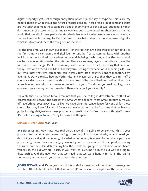digital property rights set through encryption, private, public key encryption. This is like my general thesis of what should the future of social look like. There aren't a lot of companies that are live today that meet these standards, one of them might use one or two, but generally they don't meet all of these standards. And I always set out to say something shouldn't exist in the world that has all of these particular standards, because it's what we deserve as a society, is that we have the technology for the first time to have full control of a monetary asset digitally, which is Bitcoin, and that's the thing behind me here.

For the first time, we can own our money. For the first time, we can own all of our data. For the first time we can own our digital identity and be free to communicate with another individual without a third party arbiter in the middle being the broker, and by the way, that all can be on an open standard on the internet. There are so many layers to why this is one of the most important things, it's like, the money needs to be fixed. I think one thing that came up today, I was with a friend, and I don't know if you're seeing these sanctions happening in Russia, but who knew that two companies can literally turn off a country's entire monetary flow overnight. Do we realize how powerful Visa and MasterCard are, that they can turn off a country and no one can transact within that country and be more like doing nothing that that's a problem in the world, that someone can just turn you off and then you realize, okay, that's one layer, your money can be turned off, then what about your identity?

Oh yeah, there's 1.5 billion Gmail accounts that you use to log in downstream to 10 billion centralized services, but the base layer is Gmail, what happens if that Gmail account turns you off, everything goes away. So, it's like we have given up convenience for control for these companies, they have full control for our convenience, but it's the first time that we have to go back and grab it, we have the opportunity to take it back. I'm fired up about this stuff, 'cause it's really meaningful to me, it's my life's work at this point.

#### **SHAWN STEVENSON:** Yeah, yeah.

**JP SEARS:** Justin... May I interject real quick, Shawn? I'm going to censor you; this is your podcast. But Justin, as you were sharing those six points to your thesis, what I heard you describing as a digital democracy, like what a democracy is meant to be, where you have property rights, you own your things, you're not governed over and it's the people determining the rules, not the rulers determining how the people are going to be ruled. So, what I heard you say is, the old way still exists, if you want to succumb to it, the old way is a digital dictatorship. And the new way that we need, that we were hungry for it, is The Digital Democracy and where do you want to live is the question.

**JUSTIN REZVANI:** And it's not just that, this is kind of a transition a little bit into... We're going to talk a little bit about the book that we wrote, JP, and one of the chapters in the book is "The

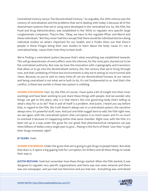Centralized Century versus The Decentralized Century." So arguably, the 20th century was the century of centralization and the problems that we're dealing with today is because all of the downstream systems that we're using were developed in the centralized era. So, the FDA, the Food and Drug Administration, was established in the 1950s to regulate very specific large conglomerate companies. They're like, "Okay, we have to the regulate Pfizer and Merck and these individuals." But they never had the concept that there would be individual doctors doing individual studies on what's important for our health, and it freaks them out that there's people in these fringes doing their own studies to learn about the body 'cause it's not a centralized body, 'cause that's how they've been built.

We're finding a centralized system because that's what everything was established towards. This will go downstream of every effect, even the internet, for the most part, started out to be the centralized authority. But now we have the innovation with cryptography and transistors that allow us to go into the decentralized century, the 21st century that we're living through now, and that combating of those two environments is why we're seeing so much turmoil and chaos. Because, as you've said so many times JP, we are decentralized humans at our nature and being centralized is not what we're built to do, it's not fundamental to us. And that's the conflict, is these two worlds in these two system is colliding.

**SHAWN STEVENSON:** Fact. So, the FDA, of course, I have quite a bit of insight into their inner workings and have been working to just share these things with people. And we wonder why things can get to this place, why is it that there's this one governing body that's telling us what's okay for us to do? That in and of itself is a problem. And Justin, I heard you say before that, in regard to the FDA, the truth doesn't always win in a centralized system, the narrative always wins. It's powerful stuff, man. And just one little nugget here to add, the FDA right now, we see again, with the centralized system, that corruption is so much easier and it's so much to overlook it because it's happening within that same chamber. Right now, with the FDA, it's been set up in a way under the guise for our good, that pharmaceutical companies can pay them billions of dollars every single year to give... Paying in the form of these "user fees" to get their drugs reviewed, right?

#### **JP SEARS:** Yeah.

**SHAWN STEVENSON:** Under the guise that we're going to get drugs to people faster. But what that does is, it opens a big gaping hole for corruption, for bribery and all these things to sneak their way in.

**JUSTIN REZVANI:** Yeah but remember how these things started. When the FDA started, it was designed to regulate very specific organizations, and there was one news network and there was one newspaper, and you had one television and you had one... Everything was centralized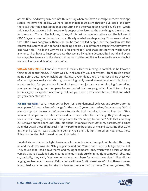at that time. And now you move into this century where we have our cell phones, we have app stores, we have the ability, we have independent journalism through sub-stack, and now there's all this fringe messaging that's occurring and the system can't handle it. It's like, "Woah, this is not how we were built. You're only supposed to listen to the one thing at the one time for the one... " That's... The failures, I think, of this last two administrations and the failures of COVID is just a result of the centralized authority of what was happening. There was no doubt that COVID was dangerous, there's no doubt that it killed people. But the problem was the centralized system could not handle breaking people up in different perspective, they have to just have this, "This is the way we do it for everybody," and that's not how the world works anymore. They have to keep up-to date that we are living in a decentralized world and every base layer has to move to this decentralized air and the conflict will eventually evaporate, but we're still in the middle of all that conflict.

**SHAWN STEVENSON:** Conflict is where JP swims. He's swimming in conflict, so he knows a thing or 20 about this. So, JP, what was it... And actually, you know what, I think this is a good point. Before getting your insight on this, Justin, your ideas... You're not just pulling these out of your \*ss, you actually went through something really remarkable to get you to this place of understanding. Can you share a little bit of your story, just a snapshot of going from selling your game-changing tech company to unexpected brain surgery, which I don't know if any brain surgery is expected necessarily, but can you share a little snapshot into that and what got you connected with JP?

**JUSTIN REZVANI:** Yeah, I mean, so I've been just a fundamental believer, and creators are the most powerful mechanisms of change for the past 10 years. I started my first company 2012. It was an app that connected influencers to brands. And basically, it was an idea that, "Hey, influential people on the internet should be compensated for the things they are doing on social media through brands in a simple way. Here's an app to do that." Sold that company 2016, stayed on the board until 2018, did all the lists and all the stuff for my parents, got Forbes 30 under 30, all those things really for my parents to be proud of me and stuff. And then 2019, in the end of 2019, I was sitting in a dentist chair and this light turned on, you know, those lights in a dentist chair turned on, and I passed out.

I kind of like went into the light. I woke up a few minutes later, I was pale white, start throwing up and the doctor was like, "Oh, you just passed out. You're fine." Eventually I get to the ICU. They found that I had a cavernoma and my right temporal lobe, which was a series of blood vessels that had exploded and created a hemorrhagic stroke in my right temporal lobe. And so, basically, they said, "Hey, we got to keep you here for about three days." They did an angiogram to check if it was an AVN or not, well thank God it wasn't an AVN. And then six weeks later, I had a craniotomy to take this benign tumor out of my brain. That was January 6th,

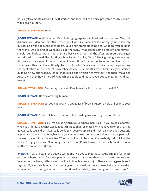basically two months before COVID started. And then, so I had a nice pre-game to 2020, which was a brain surgery.

#### **SHAWN STEVENSON:** Wow.

**JUSTIN REZVANI:** And it's very... It's a challenging experience. I had just done an Iron Man, full distance Iron Man two months before, and I was like, Man, I'm top of my game. I sold my business, all was good. And then boom, your brain starts bleeding and, what are you doing in the world? And it kind of woke me up to the fact... I was taking some time off, and maybe I should get back to work. And then, so basically three months after brain surgery, I get introduced to... I read The Lighting White Paper, I'm like, "Wow." The Lightning Network and Bitcoin is actually one of the most incredible solutions for creators to monetize directly from their fans with no central authority. And then I started Zion a few weeks later and begin coding the application at the end of November of 2020. Six months after brain surgery, started building a new business. So, I think that's like a short version of my story. And then I moved to Austin, and then how I met JP? A bunch of people said, "Justin, you got to meet JP." And so, I met JP.

**SHAWN STEVENSON:** People say that a lot. People say it a lot. "You got to meet JP."

**JUSTIN REZVANI:** He's an amazing human.

**SHAWN STEVENSON:** So, you had a COVID appetizer of brain surgery, a hole drilled into your head.

**JUSTIN REZVANI:** Yeah, still have a titanium plate holding my skull together on this side.

**SHAWN STEVENSON:** Jesus, man. Justin, you're a superhero man. So, JP, if you could elaborate, when you met Justin, what was it about this idea that resonated with you? And for both of you guys, I really see and I, truly, I really do deeply, deeply admire and I just really love you guys and appreciate what you're doing because your action-takers. When these things are happening in the world, a lot of people are like, "You know, it would be great if somebody did... " Fill in the blank. You guys are like, "I'm doing that sh\*t." So, JP, what was it about Justin and this new platform that attracted you?

**JP SEARS:** Yeah. First, all the people telling me I've got to meet Justin. And I'm in a fortunate position where there's far more people that reach out to me than what I have time to even handle, but the heavy hitters in Austin, like Aubrey Marcus, and just these amazing people kept saying, "JP, we love how you're standing up for freedom, how you're helping to awaken humanity to our God-given nature of freedom, love what you're doing. And because you're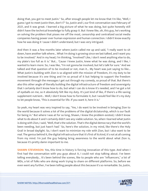doing that, you got to meet Justin." So, after enough people let me know that I'm like, "Well, I guess I got to meet Justin then, don't I?" So, Justin and I, our first conversation was February of 2021, and it was great. I learned a big picture of what he was doing, but quite honestly still didn't have the technical knowledge to fully grasp it. But I knew like, oh, this guy, he's working on solving the problem that pisses me off the most, censorship and centralized social media companies having power over human expression and human connection. I didn't know exactly how he was doing it 'cause I didn't understand, but I was very intrigued.

And then it was a few months later where Justin called me up and said, "I really want to sit down, have another talk where... What I'm doing is growing since we last talked, and I want you to be involved." And in my head, I'm thinking, "Involved? Like, I don't need anything else to do, my plate's too full as it is." But... 'Cause I knew Justin, knew what he was doing, and I like, I wanted to learn more. So, I was like, "I'm not gonna be involved, but let's talk for sure." And we talked and that question of to be involved or not, man it... My heart was just saying to like... What Justin's building with Zion is so aligned with the mission of freedom, it's my duty to be involved because it's one thing and I'm so proud of it but helping to support the freedom movement through the messages I get out through my comedy, so proud of that. But there's also this other angle of literally building the digital infrastructure of freedom and sovereignty that I certainly don't know how to do, but what I can do is know it's needed, and I've got a lot of eyeballs on me, so it absolutely felt like my duty. It's just kind of like, if there's a life-saving supplement nutrient... Well, I don't know how to formulate it, but I would feel like it's my duty to let people know, "This is essential for life. If you want it, here it is."

So yeah, my heart was very inspired to say, "Yes, I do want to be involved in bringing Zion to the world because it solves a lot of the problems of the digital dictatorship, which is our fault for being in." But where I was at for so long, Shawn, I knew the problem existed, I didn't know what to do about it and I certainly didn't see any viable solution. So, when I learned what Justin is doing with Zion, I said, "Well, that's the solution. That's the digital democracy that the world's been needing, but just hasn't had." So, here's the solution, in my mind, like there's the Holy Grail in broad daylight. So, I don't want to minimize my role with Zion, but I also want to be real. The genius behind it, the digital infrastructure that it's first of its kind, it's not at all coming from my mind. I'm just the guy helping bring awareness to the world about what Zion is, because it's pretty damn important to me.

**SHAWN STEVENSON:** Yes, this time in history is forcing innovation of this type. And when I first had the conversation with you guys about it, I could not stop talking about. I've been telling everybody... It's been behind the scenes, like to people who are "influencers," a lot of MDs, a lot of folks who are doing work trying to share on different platforms. So, before we even went any further, I've been telling people about this because it's so remarkable. So, Justin,

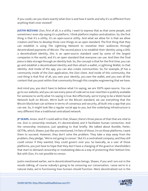if you could, can you share exactly what Zion is and how it works and why it's so different from anything that's ever existed?

**JUSTIN REZVANI:** Zion, first of all, is a utility. I want to express that as that some people, and sometimes I even slip saying it's a platform. I think platform implies centralization. So, the first thing is that it's a utility, it's an open-source utility. And what we allow for is that we allow creators and fans to develop three core things on an open standard. The first thing that they can establish is using The Lightning Network to monetize their audiences through decentralized payments of Bitcoin. The second piece is to establish their identity using a DID, a decentralized identity, this is an open-source standard used by some of the largest companies in the world, and it's an open standard that everyone can use. And then the final piece is data storage through an identity hub. So, the concept is that for the first time, you can go and establish a decentralized identity and then attach a wallet, a Lightning Wallet, to that identity. And inside of the app, you can also create communities. So, for example, JP has a community inside of the Zion application, the Zion client. And inside of this community, the cool thing is that first of all, you own your identity, you own the wallet, and you own all the content that you post within that community through this complex engineering that we have.

And mind you, you don't have to believe what I'm saying, we are 100% open-source. You can go to our website, and you can see every piece of code we've ever rewritten is publicly available for someone to verify what I'm saying is true. But effectively, we're trying to be a Web3 Social Network built on Bitcoin. We're built on the Bitcoin standard, we use everything that the Bitcoin blockchain can achieve in terms of consensus and security, all built into a app that you can see. So, it might look like a regular social app to you, but the underlying infrastructure is very different than a traditional centralized network.

**JP SEARS:** Amen. And if I could add to that, Shawn, there's three pieces of that that are vital to me. Zion is censorship resistant, it's decentralized, and it facilitates human connection. And the censorship resistance, just speaking to that briefly. We talked about Rumble, Parler, GETTRs, which, Shawn, just like you mentioned, I'm fans of those, I'm on those platforms, I want them to succeed. However, they don't solve the problem. They take a step away from the problem, they pledge, "We're not going to censor." But it's a centralized company, and they still could censor if they wanted, they could govern over you. So basically, as a user of those platforms, you just have to hope that they don't have a changing of the guard or shareholders that start to demand censorship or modulating data as a way of protecting their bottom line. But with Zion, it's not possible to censor.

Justin mentioned earlier, we're decentralized human beings. Shawn, if you and I are out in the woods talking, of course nobody's going to be censoring our conversation, 'cause we're in a natural state, we're functioning how humans should function. Were decentralized out in the

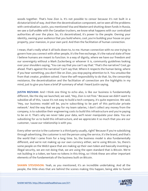woods together. That's how Zion is. It's not possible to censor because it's not built in a dictatorial kind of way. And then the decentralization component, we've seen all the problems with centralization. Justin, you mentioned Visa and Mastercard shutting down funds in Russia, we saw a GoFundMe with the Canadian truckers, we know what happens with our centralized authorities all over the place. So, it's decentralized, it's power to the people. Owning your identity, owning your audience that you build where, cool, you're building your house on your property, your mansion, in your own yard. And then the facilitation of human connection.

I mean, that's really what it all boils down to, to me. Human connection with no one trying to govern how you connect with other people, it's the free exchange, it's the natural state of how I believe humans are meant to function. In a way of dignity, where we have our freedom and our sovereignty without a Mark Zuckerberg or whoever it is, community guidelines looking over your shoulders saying, "You can say that you can't say that." That's the narrative? Cool, go ahead. That's against the narrative? Can't say that. Where it respects the human being, where if you hear something, you don't like on Zion, you stop paying attention to it. You unsubscribe from that creator, problem solved. I have the self-responsibility to do that. So, the censorship resistance, the decentralization and the facilitation of connection are the highlights in my mind, just to give you have a brief JP summary of what I heard Justin saying.

**JUSTIN REZVANI:** And I think one thing to echo also, is like our business is fundamentally different, like the day we launched, we said, "Hey, Zion is not free." Because we didn't want to subsidize all of this, 'cause it's not easy to build a tech company, it's quite expensive. We said, "Hey, our business model will be, you're subscribing to be part of this particular private network." And the way that we pay for my team salaries, I don't collect any money from the company, is to subsidize their engineering costs to build this infrastructure and you're paying to be on it. That's why we never take your data, we'll never manipulate your data. You are subsidizing for us to build this infrastructure, and we appreciate it so much that you are our customer, 'cause our relationship is with you.

Every other service is the customer is a third party usually, right? Because if you're subsidizing through advertising, the customer is not the person using the service, it's the brand, and that's the world that I came from for a long time. So, the business model is also fundamentally different, and we're not making up our own currency either, we're using Bitcoin. So, there's some people on the Web3 space that are making up their own token and basically inventing a illegal security, we are not doing that, we are using the open standard that is Bitcoin. We're not building in a token, we have no tokens in this thing, so I think these are other important elements of the fundamentals of the business built on Bitcoin.

**SHAWN STEVENSON:** Yeah, as you mentioned, it's an incredible undertaking. And all the people, the little elves that are behind the scenes making this happen, being able to funnel

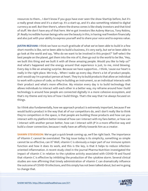resources to them... I don't know if you guys have ever seen the show StartUp before, but it's a really great show and it's a start-up. It's a start-up, and it's also something related to digital currency as well. But then there's, where the drama comes is like shady investors and that kind of stuff. We don't have any of that here. We've got investors like Aubrey Marcus, Tony Robins, JP. Really incredible human beings who see the beauty in this, in having real freedom financially and also just with your ability to express yourself and to share your voice and to express value.

**JUSTIN REZVANI:** I think we have so much gratitude of what we've been able to build in a few short months is like, we've been able to build a business, it's very early, but we've been able to go look at the world and say, "Who do we want to be involved in this project?" Self-select the best people on the planet, get them into the mix of it, then go out to the world to be like, "Hey, we built this thing and we built it with all these amazing people. Would you like to help us?" And what's happened and the energy around that experience is just, to me, mind blowing. Every day is like an amazing surprise. Because we have supportive... I think, 'cause our heart is really in the right place. We truly... When I wake up every day, there's a lot of product people, and I would say I'm a product person at heart. They try to build products that allow an individual to work with a piece of code, so they're building an instrument, so an individual interacts with their product and what's more effective. My mission every day is to build technology that allows individuals to interact with each other in a better way, my reframe around how I build technology is around how people are connected digitally in a more cohesive ecosystem, and that's my theme and my lens of how I build things. That's the way that I've always focused on things.

So I think also fundamentally, how we approach product is extremely important, because if we would build a product in the way that all of our competitors do, and I don't really like to think they're competitors in the space, is that people are building those products and how can you interact with my platform better instead of how can I interact with my fans better, or how can I interact with another person better, how can I interact with JP in a more effective way and build a closer connection, because I really have an affinity towards him as a creator.

**SHAWN STEVENSON:** We've got a quick break coming up, we'll be right back. The importance of Vitamin C cannot be overstated. The big issue today is its simplicity, something so simple cannot be so effective, can it? Well, vitamin C is obviously a major part of our immune system function and how it does its work, and this is the key, is that it helps to reduce infectionoriented inflammation. A recent study cited in the journal Pharma Nutrition investigated the impact of vitamin C in relation to the cytokine activity associated with COVID-19 and found that vitamin C is effective by inhibiting the production of the cytokine storm. Several clinical studies are now affirming that timely administration of vitamin C can dramatically influence the outcome of COVID-19 infections, and this simply has not been talked about, but we're going to change that.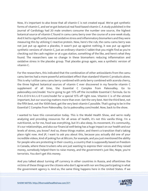Now, it's important to also know that all vitamin C is not created equal. We've got synthetic forms of vitamin C, and we've got botanical real food-based vitamin C. A study published in the Journal of Cardiology had 20 male smokers consume the number one source, the highest botanical source of vitamin C found in camu camu berry over the course of a one-week study. And it led to significantly lowered oxidative stress and inflammatory biomarkers and they were measuring this by utilizing C-reactive protein. Now, here's the rub, the camu camu berry was not just put up against a placebo, it wasn't put up against nothing, it was put up against synthetic versions of vitamin C, just an ordinary vitamin C tablet that you might find as you're checking out the cash register or at a gas station, something of the like, and here's what they found. The researchers saw no change in these biomarkers reducing inflammation and oxidative stress in the placebo group. That placebo group again, was a synthetic version of vitamin C.

For the researchers, this indicated that the combination of other antioxidants from the camu camu berries had a more powerful antioxidant effect than standard Vitamin C products alone. This is why I utilize camu camu berry combined with amla berry combined with acerola cherry, the three highest botanical sources of vitamin C ever discovered in my favorite vitamin C supplement of all time, the Essential C Complex from Paleovalley. Go to paleovalley.com/model. You're going to get 15% off the incredible Essential C formula. Go to P-A-L-E-O-V-A-L-L-E-Y.com/model for a special 15% off right now. Vitamin C is of the utmost important, but our sourcing matters more than ever. Get the very best. Not the third best, not the fifth best, not the 100th best, get the very best vitamin C possible. That's going to be in the Essential C Complex from Paleovalley. Go to paleovalley.com/model. Now, back to the show.

I wanted to have this conversation today. This is the Model Health Show, and we're really analyzing and providing resources for all areas of health, it's not this vanilla thing. I'm a nutritionist, so for me, food was everything, but it's also sleep, its movement, it's community, it's our relationships, and also our financial well-being has a huge impact on our health and our levels of stress, you know? And so, these things matter, and there's a transition that's taking place right now. And JP, I want to ask you about this, because you actually did one of your incredible videos, kind of poking fun at Bitcoin, for example, and you just mentioned the ability for people who are protesting in their country, a country that is supposedly based on freedom in Canada, where these truckers who are just wanting to express their voices and they raised money, somebody helped them to raise money, and the government's just like, Nope, you're terrorists. You don't get this money.

And you talked about turning off currency in other countries in Russia, and oftentimes the victims of these things are the citizens who don't agree with nor are they participating in what the government agency is. And so, the same thing happens here in the United States. If we

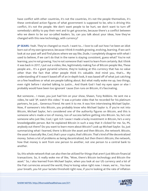have conflict with other countries, it's not the countries, it's not the people themselves, it's these centralized action figures of what government is supposed to be, who is driving this conflict, it's not the people. We don't want people to be hurt, we don't want to turn off somebody's ability to pay their rent and to get groceries, because there's a conflict between who we deem to be our so-called leaders. So, can you talk about your ideas, how they've changed with this new technology, with currency?

**JP SEARS:** Yeah. They've changed so much. I want to... I love to call out how I've been an idiot born out of my own ignorance, because I think it models growing, evolving, learning. If we can't look at our past self and find places where we say like, Dude, I completely disagree with what I used to believe, if we can't do that in the name is staying consistent, guess what? You're not learning, you're not growing. You're not someone that I want to learn from certainly. But I think it was back in 2017, I put out a video, like, legitimately making fun of Bitcoin people like, These people are... It's a giant pyramid scheme, they're looking at this currency that has no value other than the fact that other people think it's valuable. And mind you, that's... My understanding of it wasn't based off of an in-depth look, it was based off of what just catching on a few headlines or what are people talking about. But what really woke me up, two things, even right before I started talking to Justin... And thank God I had my eyes open or else I probably would have been too ignorant 'cause Zion runs on Bitcoin, it's fascinating.

But someone... I mean, you just had him on your show, Shawn, Tony Robbins. He sent me a video, he said "JP, watch this video." It was a private video that he recorded for his platinum partners, he just... Generous friend. He sent it to me. It was him interviewing Michael Saylor. Now, if someone's into Bitcoin, you probably know who Michael Saylor is. If you're not into Bitcoin, Michael Saylor, he's considered one of the authority figures on Bitcoin, and this is someone who's made a ton of money, ton of success before getting into Bitcoin. So, he's not someone who just like, Cool, I got rich 'cause I made a lucky investment in Bitcoin, he's a very knowledgeable person. But he explained Bitcoin in such a way that it clicked for me. So, PS, anybody out there? Do you want to learn more about Bitcoin? Look up Michael Saylor. So, just summarizing what I learned, there is Bitcoin the asset and then Bitcoin, the network. Bitcoin, the asset is basically like, Cool, that's your crypto, that's Bitcoin. That's kind of like decentralized money. Solves a lot of problems as being decentralized, but then there's Bitcoin, the network, how that money is sent from one person to another, not one person to a central bank to another.

So, this whole network that can also then be utilized for things that aren't just Bitcoin financial transactions. So, it really woke me of like, "Wow, there's Bitcoin technology and Bitcoin the asset." So, I also learned from Michael Saylor, when you look at our US currency and a lot of the Fiat currencies around the world, they're losing value right now. I mean, we're... You lose your breath, you hit your lactate threshold right now, if you're looking at the rate of inflation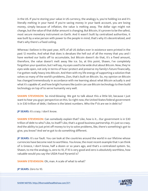in the US. If you're storing your value in US currency, the analogy is, you're holding ice and it's literally melting in your hand. If you're saving money in your bank account, you are losing money, simply because of inflation, the value is melting away. The dollar sign might not change, but the value of that dollar amount is changing. But Bitcoin, it's proven to be the safest, most secure monetary instrument on Earth. And it wasn't built by centralized authorities, it was built by a wise person with power to the people in mind, that's why it's decentralized, and that's why there's a fixed ceiling.

Whereas I believe in the past year, 40% of all US dollars ever in existence were printed in the past 12 months. And what that does is devalues the hell out of all the money that you and I have worked our butts off to accumulate, but Bitcoin doesn't do that, it's a fixed amount, therefore, the value doesn't melt away like ice. So, at this point, Shawn, I've completely forgotten your question, but I will say, my eyes used to be wide shut about Bitcoin. Now, they're eyes wide open, not only in terms of how I protect and preserve my family's future financially, I've gotten really heavy into Bitcoin. And then with my life energy of supporting a solution that solves so many of the world's problems, Zion, that's built on Bitcoin. So, my opinion on Bitcoin has changed tremendously in accordance with me learning about what Bitcoin actually is and what it's capable of, and how bright humans like Justin can use Bitcoin technology to then build technology on top of to serve humanity very well.

**SHAWN STEVENSON:** So mind-blowing. We got to talk about this a little bit, because I just want to hear you guys' perspective on this. So right now, the United States federal government is in \$30 trillion of debt, I believe is the latest numbers. Who the f\*ck are we in debt to?

**JP SEARS:** It's crazy. I don't know.

**SHAWN STEVENSON:** Can somebody explain that? Like, how is it... Our government is in \$30 trillion of debt to who? Like, to itself? Like, that's a good business partnership. It's just so crazy. And the ability to just print off money to try to solve problems, like, there's something's got to give, you know? And we've got to do something different.

**JP SEARS:** It's our fault. You can look at the countries around the world in our lifetime whose currencies have become next to worthless. You know, the most recent example that I can think of is Greece, I don't know, half a dozen or so years ago, and that's a centralized system. So, Shawn, to me the analogy is, zero to 10, if 10 is very good and zero is absolutely worthless, how valuable would you say the USDA Food Pyramid is?

**SHAWN STEVENSON:** Oh, man. A scale of what to what?

**JP SEARS:** Zero to 10.

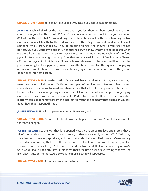**SHAWN STEVENSON:** Zero to 10, I'd give it a two, 'cause you got to eat something.

**JP SEARS:** Yeah. I'd give it by the two as well. So, if you just thought about completely handing control over your health to the USDA, you'd realize you're getting about it too, you're missing 80% of this, the potential. So, we're doing that with our financial health, we're handing control over our financial health to the Federal Reserve, the US government. And now, I'm not someone who's, argh, that's a... They do amazing things. And they're flawed, they're not perfect. So, if you want a two out of 10 financial health, we know what we're going to get when we put all our eggs into that basket, basically eating the monetary equivalent of the food pyramid. But someone might wake up from that and say, well, instead of feeding myself based off the food pyramid, I might read Shawn's books. He seems to be a lot healthier than the people running the food pyramid, I want to pay attention to him. And the equivalent of paying attention to you for health, I think financially is paying attention to Bitcoin and putting some of our eggs into that basket.

**SHAWN STEVENSON:** Powerful. Justin, if you could, because I don't want to glance over this, I mentioned a lot of folks when COVID became a part of our lives and different scientists and researchers were coming forward and sharing data that a lot of it has proven to be correct, but at the time they were getting censored, de-platformed and a lot of people were jumping over to sites like... You know, platforms like Parler, for example. How is it that an entire platform can just be removed from the Internet? It wasn't the company that did it, can you talk about how that happened? And...

**JUSTIN REZVANI:** How it happened was very... It was very sad.

**SHAWN STEVENSON:** But also talk about how that happened, but how Zion, that's impossible for that to happen.

**JUSTIN REZVANI:** So, the way that it happened was, they're on centralized app stores, they... All of their code was sitting on an AWS server, so they were simply turned off of AWS, they were banned from every app store, and then their code that was... That wrote... 'Cause usually there's like a repository that holds the actual data... Not just data that's on the system, but like the code that enables it, right? The back end and the front end, that was also sitting on AWS. So, it was just all turned off, right? I think that that's the base layer of everything that was just like, okay, Amazon, no more, App Store is no more. So, they disappeared.

**SHAWN STEVENSON:** So, what does Amazon have to do with it?

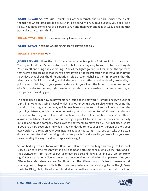**JUSTIN REZVANI:** So, AWS runs, I think, 80% of the Internet. And so, this is where the clients themselves where data storage occurs for like a server to run, 'cause usually you need like a relay... You need some level of a service to run and then your phone is actually enabling that particular service. So, I think...

**SHAWN STEVENSON:** So, they were using Amazon's servers?

**JUSTIN REZVANI:** Yeah, he was using Amazon's servers and so...

#### **SHAWN STEVENSON:** Wow.

**JUSTIN REZVANI:** I think the... And there was one central point of failure, I think that's the... The key is like, if there's one central point of failure, it's very easy to like, just turn it off, right? You turn off one thing and everything... And all the lights go out. So, I think that the approach that we've been taking is that there's a few layers of decentralization that we've been trying to achieve that allows the differentiation inside of Zion, right? So, the first piece is that the identity, your individual identity, and all the downstream effects of that identity are held by a private and public key on your personal device. So, your identifier is not sitting on some sort of a Zion centralized server, right? We have our relay that are enabled, that's open source, so that piece is owned by you.

The next piece is that how do payments run inside of the network? Number one is, we use the Lightning. We're not using PayPal, which is another centralized service, we're not using the traditional banking environment, which goes bank to bank to bank to bank. We're using the Lightning Network, which is an open monetary network built on top of Bitcoin that allows a transaction to freely move from individuals with no level of censorship to occur, and this is across a multitude of nodes that are sitting in parallel to Zion. So, the nodes are actually outside of Zion as a company that allows the payments to move freely. The final piece is that if you are a very sovereign individual, you can decide to host your own version of Zion, your own version of a relay on your own instance at your house, right? So, you can take this actual data, you can take all of the things related to your DID and actually you store it in your own server, and by the way, it's all also replicatable, right?

So, we had a great call today with Dan. Dan... Daniel was describing this thing, it's like, cool. Like, if Zion for some reason wants to turn someone off, someone just takes their DID and all the downstream information to put it somewhere else and they're running back up tomorrow, right? Because it's not a Zion instance, it's a decentralized standard on the open web. And your DID can be a referral everywhere. So, I think that's the differentiation. It's like, in the new world, what's going to happen with both of you as creators is there's going to be the JP Sears verifiable DID globally. This decentralized identifier with a verifiable credential that we set and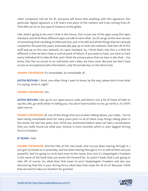other companies will set for JP, everyone will know that anything with this signature, this particular digital signature is a JP Sears true piece of the content and truly coming from JP. That DID can sit on any type of instance on the globe.

Like, what's going to be cool is that in the future, Zion is just one of the apps using this open standard, and all of these different apps can talk to each other. So, JP can go to the next version of something that's building on DIDs and Zion, put in his DID and all the things that he's already created for the past few years automatically pop up on that new network. And then all of this stuff pop-up on this new network, it's open standard. So, I think that's why this is a little bit different is that we don't have a central point of failure. If you want to hack, you have to hack every individual ID to take all that, and I think the privacy piece that we have is also that... You know, Zion has no access to an individual user's data, we have none. Because we don't have access to encrypted private information, only the private key on the device has.

**SHAWN STEVENSON:** It's remarkable. So remarkable. JP...

**JUSTIN REZVANI:** I think, one other thing I want to know, by the way, please don't trust what I'm saying, verify it, right?

#### **SHAWN STEVENSON:** Yes.

**JUSTIN REZVANI:** Like, go to our open-source code, and there's not a lot of steels of balls to say this, like, go verify what I'm telling you. You don't have to listen to me, go verify it, it's 100% open source.

**SHAWN STEVENSON:** JP, one of the things that you've been talking about, you really... You've been doing remarkable work for many years prior to all of these crazy things taking place in the world, the last two years, but I think you mentioned before when we had a conversation that you really found out what your mission is more recently, which is, your biggest driving force is freedom.

#### **JP SEARS:** Yeah.

**SHAWN STEVENSON:** And the title of this new book, and I've just been tearing through it, I just got my hands on it yesterday, and has been tearing through it, it's so well written and just powerful. And I'm going to circle back even to the name, Zion, but it's Unapologetic Freedom is the name of the book that you wrote the forward for, its Justin's book, that's just going to take off, of course. So, what does that mean to you? Unapologetic Freedom and also you discovering that this is your driving force, what does that mean for all of us? Because I think that we tend to take our freedom for granted.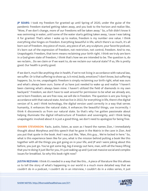**JP SEARS:** I took my freedom for granted up until Spring of 2020, under the guise of the pandemic freedom started getting taken away, and you look to the horizon and realize like, "Wow, if we don't change, more of our freedoms will be taken away." So, a fish didn't know it was swimming in water, until some of the water starts getting taken away, 'cause I was taking it for granted. That's when I woke up to realize, freedom is my number one value. I think everything else hinges on freedom. Everything beautiful in life, which there's so much, it's all born out of freedom. Any piece of music, any piece of art, any sculpture, your favorite podcast, it's born out of the expression of freedom, not restriction, not control, freedom. And to me, Unapologetic Freedom, that term means reclaiming your birth right. I think we truly are born in a God-given state of freedom, I think that's how we are intended to be. The question is, do we reclaim... Do we claim or if we want to, do we reclaim our natural state? If so, life is pretty good. Our health is pretty good.

If we don't, much like anything else in health, if we're not living in accordance with natural law, we suffer. Or is that suffering to show up, is it mind, body, emotions? I don't know, but suffering happens. So, to me, unapologetic freedom is simply reclaiming our birth right, what was ours and what's always been ours. Some of us have just needed to wake up and realize "I haven't been claiming what's always been mine. I haven't utilized the field of diamonds in my own backyard." Freedom, we don't have to wait around for permission to be what we already are, we're born freedom, we are free now, we will die in freedom. The question is are you living in accordance with that natural state. And we live in 2022, for everything in life, there's the digital version of it, and I think technology, the digital version used correctly in a way that serves humanity, it enhances the natural state, it enhances the beautiful things, use incorrectly. I think it disconnects us from our natural state. So that's why I've gotten passionate about helping illuminate the digital infrastructure of freedom and sovereignty, and I think being unapologetic involved about it is just a good thing, we don't need to apologize for being free.

**SHAWN STEVENSON:** Facts. Justin, listen, as soon as I heard the names Zion, I immediately thought about Morpheus and this speech that he gave in the Matrix in the cave in Zion. And you put that quote in the book. And I was just like, "Man, this guy... We're locked in here." So, what is this experience been like for you, what is the mission behind putting a book like this together with all the things you got going on in your life, and JP and I were joking about this before, you just go. You've got some big, big d energy out here, man, with all the heavy lifting that you're doing it just like for you, it's just waking up and I just eat massive social and complex issues for breakfast. So why this book right now?

**JUSTIN REZVANI:** I think it's needed in a way that like this... A piece of literature like this allows us to tell the story of what's happening in our world in a much more detailed way that we couldn't do in a podcast, I couldn't do in an interview, I couldn't do in a video series, it just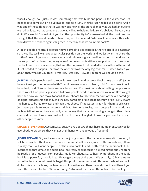wasn't enough, so I just... It was something that was built and pent up for years, that just needed it to come out on a publication, and so it just... I think I just needed to be done. And it was one of those things that it was obvious how all the stars aligned was we had an outline, we had an idea, we had someone that was willing to help us do it, so it's obvious like yeah, let's do it. Why wouldn't you do it if you had the opportunity to 'cause we had all the magic and we thought that the world needs to hear this, and I wondered "Who would else write this, who would have the cohoes against big tech in the way that we do in this book?"

A lot of people are afraid because they're afraid to get cancelled, they're afraid to disappear, so it was like well, we have a particular position on the world and we just want to share the truth of how things work to everybody, and this was a great medium to do that. And we had the support of our investors, every one of our investors is either a support on the cover or on the back, and it just made sense, that was the only way it just needed to be written in the world, it just needed to happen. That was the one that was the only logic for me. JP when I asked you about that, what do you think? I was like, I was like, "Hey, do you think we should do this?"

**JP SEARS:** Yeah, people need to know is how I saw it. And because I look at my past self, Justin, before I met you, got involved with Zion, I knew we have a problem, I didn't know how it could be solved, I didn't know there was a solution, and I'm passionate about letting people know there's a solution, people just need to know, people need to know where we're at. How we got here and how you can move forward. If you choose to take your feet out of the old paradigm of digital dictatorship and move to the new paradigm of digital democracy, or do I just... I want the horses to be led to water and then they choose if the water is right for them to drink, so I just want people to know because I didn't... I'm not a techy, most people in the world are techies. I didn't know there's actually a better way that social networking amongst other things can be done, so I look at my past self, it's like, dude, I'm glad I know for you, and I just want other people to know.

**SHAWN STEVENSON:** Awesome. So, guys, we've got two things here. Number one, can you let everybody know where they can get their hands on unapologetic freedom?

**JUSTIN REZVANI:** So, we have on amazon, just go search the name, unapologetic freedom, it will be available, I think once this podcast is live, it will be everywhere. The audio book, I think is really cool. So, I want people... For the audio book, JP and I both read the audiobook. JP his interjection throughout the audio book are really cool because he's reading the sub-chapters, he reads a lot of quotes from people... He is Morpheus. So, to hear JP Morpheus in the audio book is so powerful, I would like... Please get a copy of the book. We actually, 10 bucks we try to do the least amount possible to get this print in an Amazon said this was the least we could do for this size of a book, the least amount possible, and then the audio book, and then if you want the forward for free. We're offering JP's forward for free on the website. You could go to

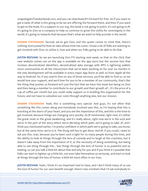unapologeticfreedombook.com, and you can download JP's forward for free. So if you want to get a taste of what is this going to be we are offering the forward there, and then if you want to get to the book, it's a support to our org, this book is not going to Justin, it's not going to JP, it's going to Zion as a company to help us continue to grow this utility for sovereignty in the world, it's going to towards that because that's what we want to help provide in the world.

**SHAWN STEVENSON:** Second, we've got Zion, and the quote comes to mind that, there's nothing more powerful than an idea whose time has come. I know a lot of folks are wanting to get involved with Zion, to utilize it, how and when our folks going to be able to do that.

**JUSTIN REZVANI:** So we are launching Zion FYI starting next week, so that on the 23rd, that new website comes out on the app is available on the app store but the version two that involves decentralized identifiers, decentralized data storage with IPFS is lightning wallets more communities to all the interactions that we've been working on for over six months in the new development will be available in every major App Store as well, so from Apple all the way to Android. So, if you search Zion on any of those services, you'll be able to find us, so we would love your support, and we'd love for you to be a member of our community, that's like the thing that pushes us forward isn't just the fact that we have this book but being on Zion and then being a member to contribute to our growth and their growth of... It's the price of a cup of coffee per month but you could really support us in building this organization for the future, and not have to subsidize our costs through anything else, but our mission.

**SHAWN STEVENSON:** Yeah, this is something very special. And guys, it's not often that something like this comes along and everybody involved sees this, so I'm hoping that this is knocking at the doors of your heart, and you see the importance of this, and this is the time to get involved, because things are changing very quickly. As JP mentioned, right now, it's either the great reset or the great awakening, and it's really about, right now we're in the suck and we're in the part of the story where we're deciding which path, we're going to take. JP, and I think you mentioned earlier, I'm pretty confident in which path we're going to take, you know, but at the same time, we're in it. The thing still has to get done. And JP, if you could, I want to ask you this, man, because you've been such a light for so many people during this time, and the ability to look at things through the lens of comedy and to laugh at the craziness, but it doesn't take away from the importance of it, or the necessity of doing something, but being able to see thing through the... See things through the lens of humor is so powerful and so healing, so can you talk a little bit about that and why for you and if you think it's possible that folks can start to lighten up a little bit, not even take themselves so seriously, and start to look at things through the lens of humor a little bit more often in our lives.

**JUSTIN REZVANI:** Yeah, I think it's an important tool to have, and I don't think many of us use the tool of humor for our own benefit enough, there's two mindsets that I'd ask everybody to

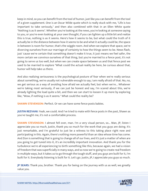keep in mind, so you can benefit from the tool of humor, just like you can benefit from the tool of a given supplement. One is an Oscar Wilde quote which is really stuck with me, "Life is too important to take seriously," and then also combined with that in an Ellen White quote "Nothing is as it seems". Whether you're looking at the news, you're looking at someone saying to you, or you're even looking at your own thought, if you can lighten up a little bit and realize this is true, nothing is as it seems. Here's how it seems to be, but what could the truth of it actually be in the distance between how it seems to be and what it actually could be, the space in between is room for humor, that's the wiggle room. And when we explore that space, we're divorcing ourselves from our marriage of certainty to how the things seem to be. News flash, just 'cause we're certain that something doesn't make it true, it just means we feel safer, the more certain we convince ourselves of that thing, but you're married to a fence post, it's not going to serve us too well, but when we can create space between us and that fence post we used to be married to explore "What could the actual reality be here, be curious about that, humor will help take us there.

And also realizing seriousness is the psychological posture of fear when we're really serious about something, we're usually not vulnerable enough to say, I am really afraid of that. No, no, we get serious as a way of avoiding how afraid we actually feel, but when we're... Whatever we're taking most seriously, if we can just be honest and say, I'm scared about this, we're already lighting the load quite a bit, and then we can start to loosen it up more by exploring like, "Wow, if nothing is as it seems." What could the reality be?

**SHAWN STEVENSON: Perfect. Or we can have some fence posts babies.** 

**JUSTIN REZVANI:** Yeah, we could. And I've tried to mate with fence posts in the past, Shawn as you've taught me, it's not a comfortable process.

**SHAWN STEVENSON:** I almost fell over, man. I'm a very visual person, so... Man, JP, listen I appreciate you so much, Justin, thank you so much for the work that you guys are doing. It's just remarkable, and I'm grateful to just be a witness to this taking place right now and participating in this. Again, there's nothing more powerful than an idea whose time has come. And Zion is something that is going to change all of our lives, and it's just a matter of when are you going to get tuned into it, it's an incredibly important innovation. And thank you for the turbulence we're all experiencing to birth something like this, because again, we had a vision of freedom that was superficially in many ways, and so now we're going to create real freedom in multiple ways, but it takes us to go through the tough stuff, and you guys are built for it, I'm built for it. Everybody listening is built for it. Let's go. Justin, JP, I appreciate you guys so much.

**JP SEARS:** Thank you, brother. Thank you for being on the journey with us as well, we greatly value you.

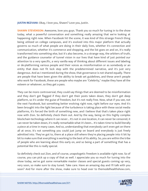**JUSTIN REZVANI:** Okay, I love you, Shawn? Love you, Justin.

**SHAWN STEVENSON:** Awesome, love you guys. Thank you so much for tuning in to the show today, what a powerful conversation and something really amazing that we're looking at happening right now. When Facebook hit the scene, it was kind of this strange French thing being utilized on college campuses, and it's evolved into this major platform that actually governs so much of what people are doing in their daily lives, whether it's connection and communication, whether it's commerce and shopping, and the list goes on and on, it's really transformed into something else, but it's also become, in a strange way, the arbiters of truth, and the guidance counselor of tunnel vision in our lives that have kind of just pointed our attention to a very specific, a very vanilla way of thinking about different issues and labeling or de-platforming various people and their voices as misinformation or as somebody or an entity that does not fit lock step with the predetermined narrative, and it's just very dangerous. And as I mentioned during the show, that governance is not shared equally. There are people that have been given the ability to break set guidelines, and these aren't people who work for Facebook, these are people who maybe are "Celebrity," maybe they have all the esteem or whatever, so they get a pass.

They can be more controversial, they could say things that are deemed to be misinformation and they don't get flagged if they don't get their posts taken down, they don't get deep platform, so it's under the guise of freedom, but it's not really free. Now, what if you see, not the next Facebook, but something better evolving right now, right before our eyes. And it's been brought into the light because of the turbulence is taking place with these social media platforms, it's forced the birth of something new, and I believe that that's taken place right now with Zion. So definitely check them out. And by the way, being on this highly complex blockchain technology where it can never... It's not in one location, it can never be censored, it can never be taken down, it's really remarkable what it's been... It's taken time to build literally a piece at a time in many cases. And so, understanding that everybody can't even get on there all at once, it's not something you could just jump on board and everybody is just freely admitted into. They've got to, there at a place still where they're placing people into it bit by bit to make sure that everything is working to the best of its ability. So, you are within the tribe of people who are learning about this early on, and so being a part of something that has a potential like this is really special.

So definitely check out Zion, and of course, unapologetic freedom is available right now. So of course, you can pick up a copy of that as well. I appreciate you so much for tuning into the show today, we've got some remarkable master classes and special guests coming up very, very soon, so make sure to stay tuned. Take care. Have an amazing day and I'll talk with you soon? And for more after the show, make sure to head over to themodelhealthshow.com,